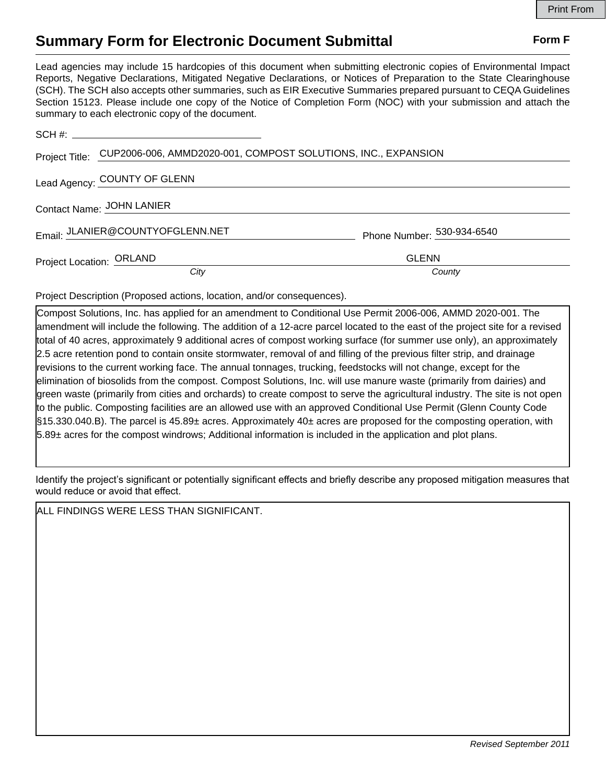## **Summary Form for Electronic Document Submittal Form F Form F**

Lead agencies may include 15 hardcopies of this document when submitting electronic copies of Environmental Impact Reports, Negative Declarations, Mitigated Negative Declarations, or Notices of Preparation to the State Clearinghouse (SCH). The SCH also accepts other summaries, such as EIR Executive Summaries prepared pursuant to CEQA Guidelines Section 15123. Please include one copy of the Notice of Completion Form (NOC) with your submission and attach the summary to each electronic copy of the document.

|                           | Project Title: CUP2006-006, AMMD2020-001, COMPOST SOLUTIONS, INC., EXPANSION |                            |
|---------------------------|------------------------------------------------------------------------------|----------------------------|
|                           | Lead Agency: COUNTY OF GLENN                                                 |                            |
| Contact Name: JOHN LANIER |                                                                              |                            |
|                           | Email: JLANIER@COUNTYOFGLENN.NET                                             | Phone Number: 530-934-6540 |
| Project Location: ORLAND  |                                                                              | <b>GLENN</b>               |
|                           | City                                                                         | County                     |

Project Description (Proposed actions, location, and/or consequences).

Compost Solutions, Inc. has applied for an amendment to Conditional Use Permit 2006-006, AMMD 2020-001. The amendment will include the following. The addition of a 12-acre parcel located to the east of the project site for a revised total of 40 acres, approximately 9 additional acres of compost working surface (for summer use only), an approximately 2.5 acre retention pond to contain onsite stormwater, removal of and filling of the previous filter strip, and drainage revisions to the current working face. The annual tonnages, trucking, feedstocks will not change, except for the elimination of biosolids from the compost. Compost Solutions, Inc. will use manure waste (primarily from dairies) and green waste (primarily from cities and orchards) to create compost to serve the agricultural industry. The site is not open to the public. Composting facilities are an allowed use with an approved Conditional Use Permit (Glenn County Code §15.330.040.B). The parcel is 45.89± acres. Approximately 40± acres are proposed for the composting operation, with 5.89± acres for the compost windrows; Additional information is included in the application and plot plans.

Identify the project's significant or potentially significant effects and briefly describe any proposed mitigation measures that would reduce or avoid that effect.

ALL FINDINGS WERE LESS THAN SIGNIFICANT.